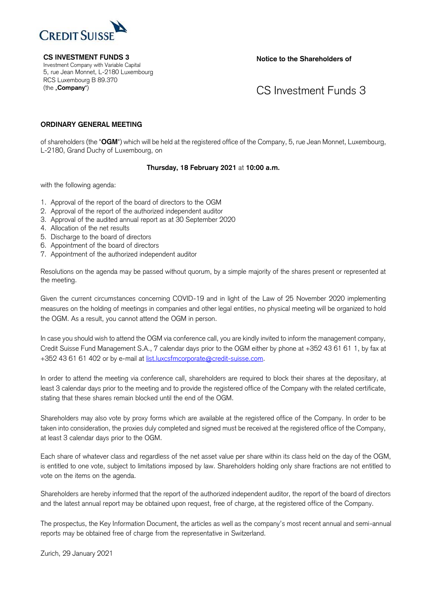

**CS INVESTMENT FUNDS 3** Investment Company with Variable Capital 5, rue Jean Monnet, L-2180 Luxembourg RCS Luxembourg B 89.370 (the "**Company**")

**Notice to the Shareholders of**

CS Investment Funds 3

## **ORDINARY GENERAL MEETING**

of shareholders (the "**OGM**") which will be held at the registered office of the Company, 5, rue Jean Monnet, Luxembourg, L-2180, Grand Duchy of Luxembourg, on

## **Thursday, 18 February 2021** at **10:00 a.m.**

with the following agenda:

- 1. Approval of the report of the board of directors to the OGM
- 2. Approval of the report of the authorized independent auditor
- 3. Approval of the audited annual report as at 30 September 2020
- 4. Allocation of the net results
- 5. Discharge to the board of directors
- 6. Appointment of the board of directors
- 7. Appointment of the authorized independent auditor

Resolutions on the agenda may be passed without quorum, by a simple majority of the shares present or represented at the meeting.

Given the current circumstances concerning COVID-19 and in light of the Law of 25 November 2020 implementing measures on the holding of meetings in companies and other legal entities, no physical meeting will be organized to hold the OGM. As a result, you cannot attend the OGM in person.

In case you should wish to attend the OGM via conference call, you are kindly invited to inform the management company, Credit Suisse Fund Management S.A., 7 calendar days prior to the OGM either by phone at +352 43 61 61 1, by fax at +352 43 61 61 402 or by e-mail at [list.luxcsfmcorporate@credit-suisse.com.](mailto:list.luxcsfmcorporate@credit-suisse.com)

In order to attend the meeting via conference call, shareholders are required to block their shares at the depositary, at least 3 calendar days prior to the meeting and to provide the registered office of the Company with the related certificate, stating that these shares remain blocked until the end of the OGM.

Shareholders may also vote by proxy forms which are available at the registered office of the Company. In order to be taken into consideration, the proxies duly completed and signed must be received at the registered office of the Company, at least 3 calendar days prior to the OGM.

Each share of whatever class and regardless of the net asset value per share within its class held on the day of the OGM, is entitled to one vote, subject to limitations imposed by law. Shareholders holding only share fractions are not entitled to vote on the items on the agenda.

Shareholders are hereby informed that the report of the authorized independent auditor, the report of the board of directors and the latest annual report may be obtained upon request, free of charge, at the registered office of the Company.

The prospectus, the Key Information Document, the articles as well as the company's most recent annual and semi-annual reports may be obtained free of charge from the representative in Switzerland.

Zurich, 29 January 2021